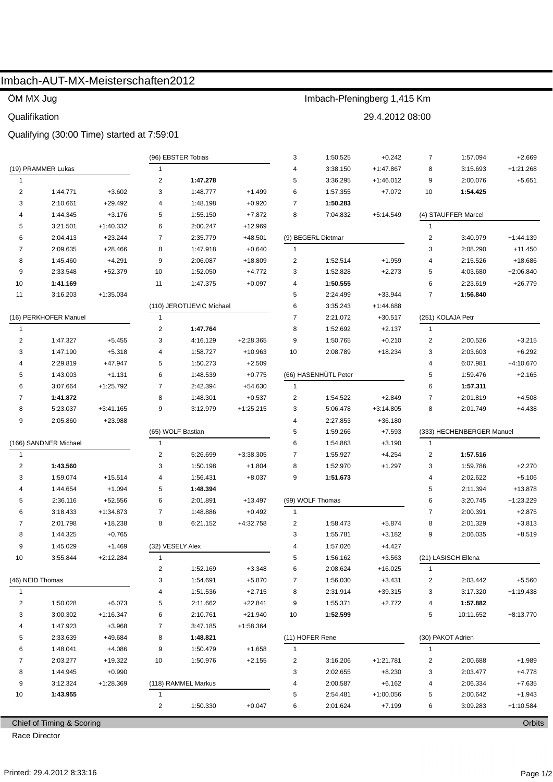# Imbach-AUT-MX-Meisterschaften2012

## ÖM MX Jug

### Qualifikation

### Qualifying (30:00 Time) started at 7:59:01

|                         |                           |             |                  | (96) EBSTER Tobias        |             | 3               | 1:50.525             | $+0.242$    | $\overline{7}$          | 1:57.094                  | $+2.669$    |
|-------------------------|---------------------------|-------------|------------------|---------------------------|-------------|-----------------|----------------------|-------------|-------------------------|---------------------------|-------------|
|                         | (19) PRAMMER Lukas        |             | $\mathbf{1}$     |                           |             | 4               | 3:38.150             | $+1:47.867$ | 8                       | 3:15.693                  | $+1:21.268$ |
| $\mathbf{1}$            |                           |             | $\overline{c}$   | 1:47.278                  |             | 5               | 3:36.295             | $+1:46.012$ | 9                       | 2:00.076                  | $+5.651$    |
| $\overline{\mathbf{c}}$ | 1:44.771                  | $+3.602$    | 3                | 1:48.777                  | $+1.499$    | 6               | 1:57.355             | $+7.072$    | 10                      | 1:54.425                  |             |
| 3                       | 2:10.661                  | $+29.492$   | $\overline{4}$   | 1:48.198                  | $+0.920$    | $\overline{7}$  | 1:50.283             |             |                         |                           |             |
| 4                       | 1:44.345                  | $+3.176$    | 5                | 1:55.150                  | $+7.872$    | 8               | 7:04.832             | $+5:14.549$ |                         | (4) STAUFFER Marcel       |             |
| 5                       | 3:21.501                  | +1:40.332   | 6                | 2:00.247                  | $+12.969$   |                 |                      |             | $\mathbf{1}$            |                           |             |
| 6                       | 2:04.413                  | $+23.244$   | 7                | 2:35.779                  | $+48.501$   |                 | (9) BEGERL Dietmar   |             | $\overline{c}$          | 3:40.979                  | $+1:44.139$ |
| 7                       | 2:09.635                  | $+28.466$   | 8                | 1:47.918                  | $+0.640$    | $\mathbf{1}$    |                      |             | 3                       | 2:08.290                  | $+11.450$   |
| 8                       | 1:45.460                  | $+4.291$    | 9                | 2:06.087                  | $+18.809$   | 2               | 1:52.514             | $+1.959$    | 4                       | 2:15.526                  | +18.686     |
| 9                       | 2:33.548                  | +52.379     | 10               | 1:52.050                  | $+4.772$    | 3               | 1:52.828             | $+2.273$    | 5                       | 4:03.680                  | $+2:06.840$ |
| 10                      | 1:41.169                  |             | 11               | 1:47.375                  | $+0.097$    | 4               | 1:50.555             |             | 6                       | 2:23.619                  | $+26.779$   |
| 11                      | 3:16.203                  | $+1:35.034$ |                  |                           |             | 5               | 2:24.499             | $+33.944$   | $\overline{7}$          | 1:56.840                  |             |
|                         |                           |             |                  | (110) JEROTIJEVIC Michael |             | 6               | 3:35.243             | $+1:44.688$ |                         |                           |             |
| (16) PERKHOFER Manuel   |                           |             | 1                |                           |             | $\overline{7}$  | 2:21.072             | $+30.517$   |                         | (251) KOLAJA Petr         |             |
| $\mathbf{1}$            |                           |             | $\overline{c}$   | 1:47.764                  |             | 8               | 1:52.692             | $+2.137$    | $\mathbf{1}$            |                           |             |
| $\overline{2}$          | 1:47.327                  | $+5.455$    | 3                | 4:16.129                  | $+2:28.365$ | 9               | 1:50.765             | $+0.210$    | $\overline{2}$          | 2:00.526                  | $+3.215$    |
| 3                       | 1:47.190                  | $+5.318$    | 4                | 1:58.727                  | $+10.963$   | 10              | 2:08.789             | $+18.234$   | 3                       | 2:03.603                  | $+6.292$    |
| 4                       | 2:29.819                  | +47.947     | 5                | 1:50.273                  | $+2.509$    |                 |                      |             | 4                       | 6:07.981                  | +4:10.670   |
| 5                       | 1:43.003                  | $+1.131$    | 6                | 1:48.539                  | $+0.775$    |                 | (66) HASENHÜTL Peter |             | 5                       | 1:59.476                  | $+2.165$    |
| 6                       | 3:07.664                  | +1:25.792   | 7                | 2:42.394                  | $+54.630$   | $\mathbf{1}$    |                      |             | 6                       | 1:57.311                  |             |
| 7                       | 1:41.872                  |             | 8                | 1:48.301                  | $+0.537$    | 2               | 1:54.522             | $+2.849$    | 7                       | 2:01.819                  | $+4.508$    |
| 8                       | 5:23.037                  | +3:41.165   | 9                | 3:12.979                  | $+1:25.215$ | 3               | 5:06.478             | $+3:14.805$ | 8                       | 2:01.749                  | $+4.438$    |
| 9                       | 2:05.860                  | +23.988     |                  |                           |             | 4               | 2:27.853             | $+36.180$   |                         |                           |             |
|                         |                           |             |                  | (65) WOLF Bastian         |             | 5               | 1:59.266             | $+7.593$    |                         | (333) HECHENBERGER Manuel |             |
|                         | (166) SANDNER Michael     |             | 1                |                           |             | 6               | 1:54.863             | $+3.190$    | $\overline{1}$          |                           |             |
| 1                       |                           |             | $\overline{c}$   | 5:26.699                  | $+3:38.305$ | 7               | 1:55.927             | $+4.254$    | 2                       | 1:57.516                  |             |
| $\overline{\mathbf{c}}$ | 1:43.560                  |             | 3                | 1:50.198                  | $+1.804$    | 8               | 1:52.970             | $+1.297$    | 3                       | 1:59.786                  | $+2.270$    |
| 3                       | 1:59.074                  | $+15.514$   | 4                | 1:56.431                  | $+8.037$    | 9               | 1:51.673             |             | 4                       | 2:02.622                  | $+5.106$    |
| 4                       | 1:44.654                  | $+1.094$    | 5                | 1:48.394                  |             |                 |                      |             | 5                       | 2:11.394                  | +13.878     |
| 5                       | 2:36.116                  | +52.556     | 6                | 2:01.891                  | +13.497     |                 | (99) WOLF Thomas     |             | 6                       | 3:20.745                  | $+1:23.229$ |
| 6                       | 3:18.433                  | +1:34.873   | $\overline{7}$   | 1:48.886                  | $+0.492$    | $\mathbf{1}$    |                      |             | $\overline{7}$          | 2:00.391                  | $+2.875$    |
| 7                       | 2:01.798                  | +18.238     | 8                | 6:21.152                  | +4:32.758   | $\overline{2}$  | 1:58.473             | $+5.874$    | 8                       | 2:01.329                  | $+3.813$    |
| 8                       | 1:44.325                  | $+0.765$    |                  |                           |             | 3               | 1:55.781             | $+3.182$    | 9                       | 2:06.035                  | $+8.519$    |
| 9                       | 1:45.029                  | $+1.469$    | (32) VESELY Alex |                           |             | 4               | 1:57.026             | +4.427      |                         |                           |             |
| 10                      | 3:55.844                  | +2:12.284   | 1                |                           |             | 5               | 1:56.162             | $+3.563$    |                         | (21) LASISCH Ellena       |             |
|                         |                           |             | 2                | 1:52.169                  | $+3.348$    | 6               | 2:08.624             | $+16.025$   | 1                       |                           |             |
|                         | (46) NEID Thomas          |             | 3                | 1:54.691                  | $+5.870$    | 7               | 1:56.030             | $+3.431$    | $\overline{\mathbf{c}}$ | 2:03.442                  | $+5.560$    |
| $\mathbf{1}$            |                           |             | 4                | 1:51.536                  | $+2.715$    | 8               | 2:31.914             | $+39.315$   | 3                       | 3:17.320                  | $+1:19.438$ |
| 2                       | 1:50.028                  | $+6.073$    | 5                | 2:11.662                  | $+22.841$   | 9               | 1:55.371             | $+2.772$    | 4                       | 1:57.882                  |             |
| 3                       | 3:00.302                  | $+1:16.347$ | 6                | 2:10.761                  | $+21.940$   | 10              | 1:52.599             |             | 5                       | 10:11.652                 | $+8:13.770$ |
| 4                       | 1:47.923                  | $+3.968$    | 7                | 3:47.185                  | $+1:58.364$ |                 |                      |             |                         |                           |             |
| 5                       | 2:33.639                  | +49.684     | 8                | 1:48.821                  |             | (11) HOFER Rene |                      |             |                         | (30) PAKOT Adrien         |             |
| 6                       | 1:48.041                  | $+4.086$    | 9                | 1:50.479                  | $+1.658$    | $\mathbf{1}$    |                      |             | $\mathbf{1}$            |                           |             |
| 7                       | 2:03.277                  | +19.322     | 10               | 1:50.976                  | $+2.155$    | 2               | 3:16.206             | $+1:21.781$ | 2                       | 2:00.688                  | $+1.989$    |
| 8                       | 1:44.945                  | $+0.990$    |                  |                           |             | 3               | 2:02.655             | $+8.230$    | 3                       | 2:03.477                  | $+4.778$    |
| 9                       | 3:12.324                  | +1:28.369   |                  | (118) RAMMEL Markus       |             | 4               | 2:00.587             | $+6.162$    | 4                       | 2:06.334                  | $+7.635$    |
| 10                      | 1:43.955                  |             | 1                |                           |             | 5               | 2:54.481             | $+1:00.056$ | 5                       | 2:00.642                  | $+1.943$    |
|                         |                           |             | 2                | 1:50.330                  | $+0.047$    | 6               | 2:01.624             | $+7.199$    | 6                       | 3:09.283                  | $+1:10.584$ |
|                         |                           |             |                  |                           |             |                 |                      |             |                         |                           |             |
|                         | Chief of Timing & Scoring |             |                  |                           |             |                 |                      |             |                         |                           | Orbits      |

Imbach-Pfeningberg 1,415 Km

29.4.2012 08:00

Chief of Timing & Scoring

Race Director